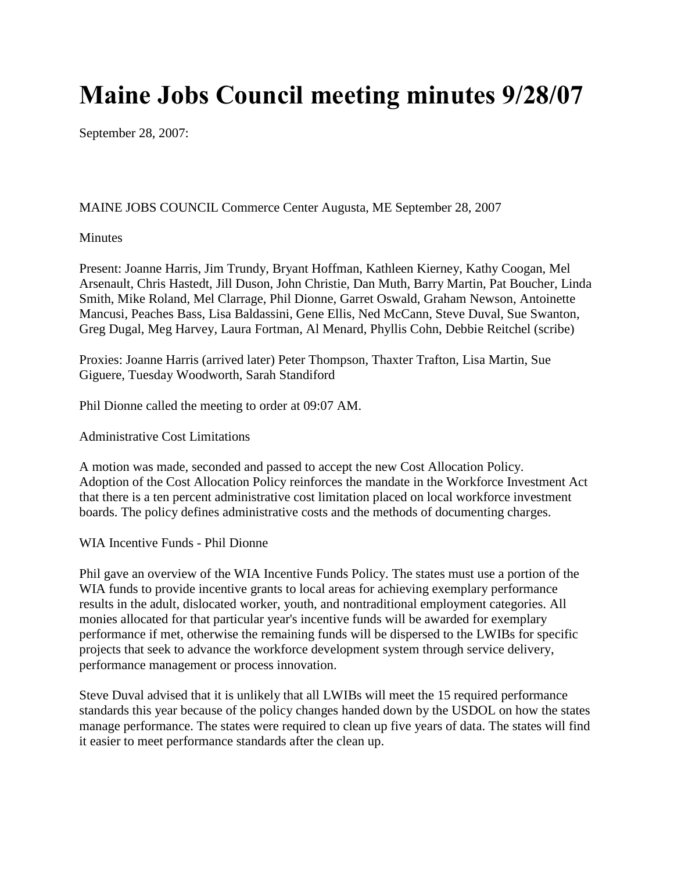## **Maine Jobs Council meeting minutes 9/28/07**

September 28, 2007:

MAINE JOBS COUNCIL Commerce Center Augusta, ME September 28, 2007

## Minutes

Present: Joanne Harris, Jim Trundy, Bryant Hoffman, Kathleen Kierney, Kathy Coogan, Mel Arsenault, Chris Hastedt, Jill Duson, John Christie, Dan Muth, Barry Martin, Pat Boucher, Linda Smith, Mike Roland, Mel Clarrage, Phil Dionne, Garret Oswald, Graham Newson, Antoinette Mancusi, Peaches Bass, Lisa Baldassini, Gene Ellis, Ned McCann, Steve Duval, Sue Swanton, Greg Dugal, Meg Harvey, Laura Fortman, Al Menard, Phyllis Cohn, Debbie Reitchel (scribe)

Proxies: Joanne Harris (arrived later) Peter Thompson, Thaxter Trafton, Lisa Martin, Sue Giguere, Tuesday Woodworth, Sarah Standiford

Phil Dionne called the meeting to order at 09:07 AM.

Administrative Cost Limitations

A motion was made, seconded and passed to accept the new Cost Allocation Policy. Adoption of the Cost Allocation Policy reinforces the mandate in the Workforce Investment Act that there is a ten percent administrative cost limitation placed on local workforce investment boards. The policy defines administrative costs and the methods of documenting charges.

WIA Incentive Funds - Phil Dionne

Phil gave an overview of the WIA Incentive Funds Policy. The states must use a portion of the WIA funds to provide incentive grants to local areas for achieving exemplary performance results in the adult, dislocated worker, youth, and nontraditional employment categories. All monies allocated for that particular year's incentive funds will be awarded for exemplary performance if met, otherwise the remaining funds will be dispersed to the LWIBs for specific projects that seek to advance the workforce development system through service delivery, performance management or process innovation.

Steve Duval advised that it is unlikely that all LWIBs will meet the 15 required performance standards this year because of the policy changes handed down by the USDOL on how the states manage performance. The states were required to clean up five years of data. The states will find it easier to meet performance standards after the clean up.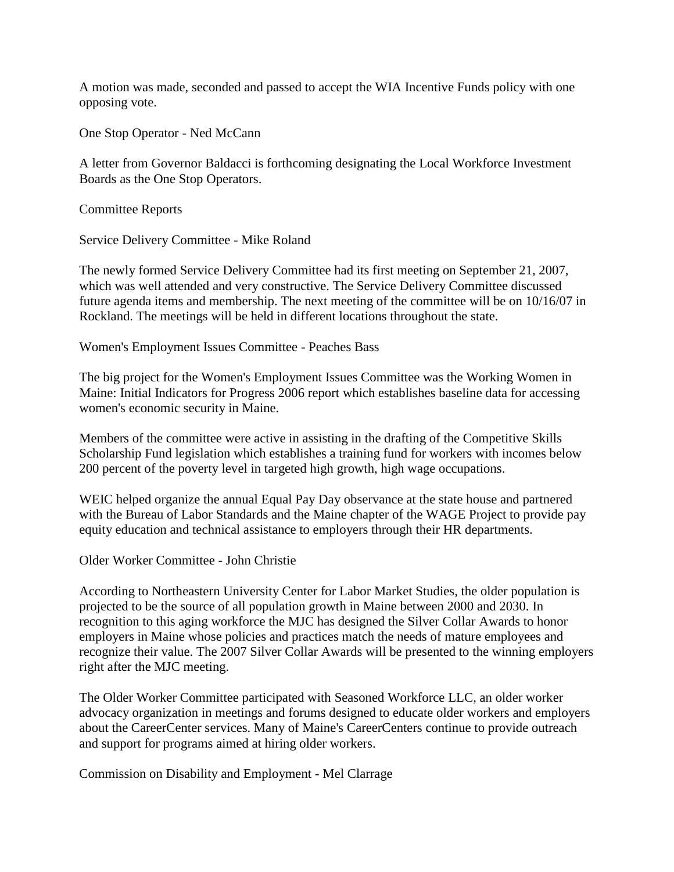A motion was made, seconded and passed to accept the WIA Incentive Funds policy with one opposing vote.

One Stop Operator - Ned McCann

A letter from Governor Baldacci is forthcoming designating the Local Workforce Investment Boards as the One Stop Operators.

Committee Reports

Service Delivery Committee - Mike Roland

The newly formed Service Delivery Committee had its first meeting on September 21, 2007, which was well attended and very constructive. The Service Delivery Committee discussed future agenda items and membership. The next meeting of the committee will be on 10/16/07 in Rockland. The meetings will be held in different locations throughout the state.

Women's Employment Issues Committee - Peaches Bass

The big project for the Women's Employment Issues Committee was the Working Women in Maine: Initial Indicators for Progress 2006 report which establishes baseline data for accessing women's economic security in Maine.

Members of the committee were active in assisting in the drafting of the Competitive Skills Scholarship Fund legislation which establishes a training fund for workers with incomes below 200 percent of the poverty level in targeted high growth, high wage occupations.

WEIC helped organize the annual Equal Pay Day observance at the state house and partnered with the Bureau of Labor Standards and the Maine chapter of the WAGE Project to provide pay equity education and technical assistance to employers through their HR departments.

Older Worker Committee - John Christie

According to Northeastern University Center for Labor Market Studies, the older population is projected to be the source of all population growth in Maine between 2000 and 2030. In recognition to this aging workforce the MJC has designed the Silver Collar Awards to honor employers in Maine whose policies and practices match the needs of mature employees and recognize their value. The 2007 Silver Collar Awards will be presented to the winning employers right after the MJC meeting.

The Older Worker Committee participated with Seasoned Workforce LLC, an older worker advocacy organization in meetings and forums designed to educate older workers and employers about the CareerCenter services. Many of Maine's CareerCenters continue to provide outreach and support for programs aimed at hiring older workers.

Commission on Disability and Employment - Mel Clarrage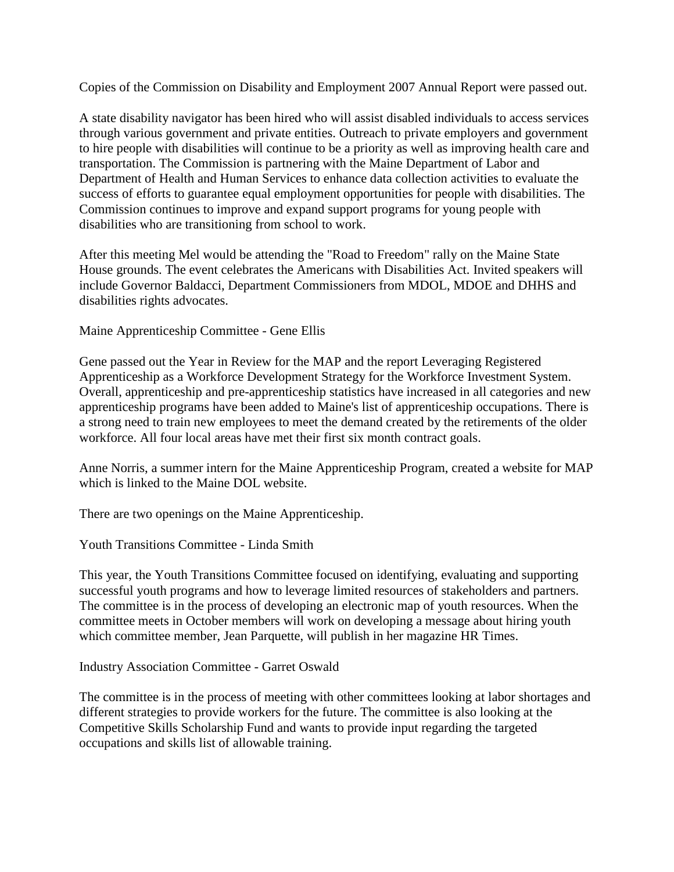Copies of the Commission on Disability and Employment 2007 Annual Report were passed out.

A state disability navigator has been hired who will assist disabled individuals to access services through various government and private entities. Outreach to private employers and government to hire people with disabilities will continue to be a priority as well as improving health care and transportation. The Commission is partnering with the Maine Department of Labor and Department of Health and Human Services to enhance data collection activities to evaluate the success of efforts to guarantee equal employment opportunities for people with disabilities. The Commission continues to improve and expand support programs for young people with disabilities who are transitioning from school to work.

After this meeting Mel would be attending the "Road to Freedom" rally on the Maine State House grounds. The event celebrates the Americans with Disabilities Act. Invited speakers will include Governor Baldacci, Department Commissioners from MDOL, MDOE and DHHS and disabilities rights advocates.

Maine Apprenticeship Committee - Gene Ellis

Gene passed out the Year in Review for the MAP and the report Leveraging Registered Apprenticeship as a Workforce Development Strategy for the Workforce Investment System. Overall, apprenticeship and pre-apprenticeship statistics have increased in all categories and new apprenticeship programs have been added to Maine's list of apprenticeship occupations. There is a strong need to train new employees to meet the demand created by the retirements of the older workforce. All four local areas have met their first six month contract goals.

Anne Norris, a summer intern for the Maine Apprenticeship Program, created a website for MAP which is linked to the Maine DOL website.

There are two openings on the Maine Apprenticeship.

Youth Transitions Committee - Linda Smith

This year, the Youth Transitions Committee focused on identifying, evaluating and supporting successful youth programs and how to leverage limited resources of stakeholders and partners. The committee is in the process of developing an electronic map of youth resources. When the committee meets in October members will work on developing a message about hiring youth which committee member, Jean Parquette, will publish in her magazine HR Times.

Industry Association Committee - Garret Oswald

The committee is in the process of meeting with other committees looking at labor shortages and different strategies to provide workers for the future. The committee is also looking at the Competitive Skills Scholarship Fund and wants to provide input regarding the targeted occupations and skills list of allowable training.